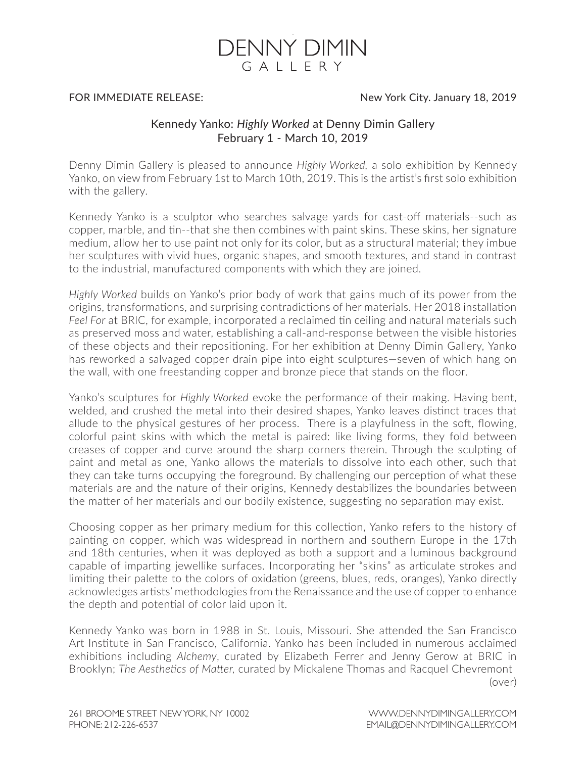

## FOR IMMEDIATE RELEASE:

## New York City. January 18, 2019

## Kennedy Yanko: *Highly Worked* at Denny Dimin Gallery February 1 - March 10, 2019

Denny Dimin Gallery is pleased to announce *Highly Worked,* a solo exhibition by Kennedy Yanko, on view from February 1st to March 10th, 2019. This is the artist's first solo exhibition with the gallery.

Kennedy Yanko is a sculptor who searches salvage yards for cast-off materials--such as copper, marble, and tin--that she then combines with paint skins. These skins, her signature medium, allow her to use paint not only for its color, but as a structural material; they imbue her sculptures with vivid hues, organic shapes, and smooth textures, and stand in contrast to the industrial, manufactured components with which they are joined.

*Highly Worked* builds on Yanko's prior body of work that gains much of its power from the origins, transformations, and surprising contradictions of her materials. Her 2018 installation *Feel For* at BRIC, for example, incorporated a reclaimed tin ceiling and natural materials such as preserved moss and water, establishing a call-and-response between the visible histories of these objects and their repositioning. For her exhibition at Denny Dimin Gallery, Yanko has reworked a salvaged copper drain pipe into eight sculptures—seven of which hang on the wall, with one freestanding copper and bronze piece that stands on the floor.

Yanko's sculptures for *Highly Worked* evoke the performance of their making. Having bent, welded, and crushed the metal into their desired shapes, Yanko leaves distinct traces that allude to the physical gestures of her process. There is a playfulness in the soft, flowing, colorful paint skins with which the metal is paired: like living forms, they fold between creases of copper and curve around the sharp corners therein. Through the sculpting of paint and metal as one, Yanko allows the materials to dissolve into each other, such that they can take turns occupying the foreground. By challenging our perception of what these materials are and the nature of their origins, Kennedy destabilizes the boundaries between the matter of her materials and our bodily existence, suggesting no separation may exist.

Choosing copper as her primary medium for this collection, Yanko refers to the history of painting on copper, which was widespread in northern and southern Europe in the 17th and 18th centuries, when it was deployed as both a support and a luminous background capable of imparting jewellike surfaces. Incorporating her "skins" as articulate strokes and limiting their palette to the colors of oxidation (greens, blues, reds, oranges), Yanko directly acknowledges artists' methodologies from the Renaissance and the use of copper to enhance the depth and potential of color laid upon it.

Kennedy Yanko was born in 1988 in St. Louis, Missouri. She attended the San Francisco Art Institute in San Francisco, California. Yanko has been included in numerous acclaimed exhibitions including *Alchemy*, curated by Elizabeth Ferrer and Jenny Gerow at BRIC in Brooklyn; *The Aesthetics of Matter,* curated by Mickalene Thomas and Racquel Chevremont (over)